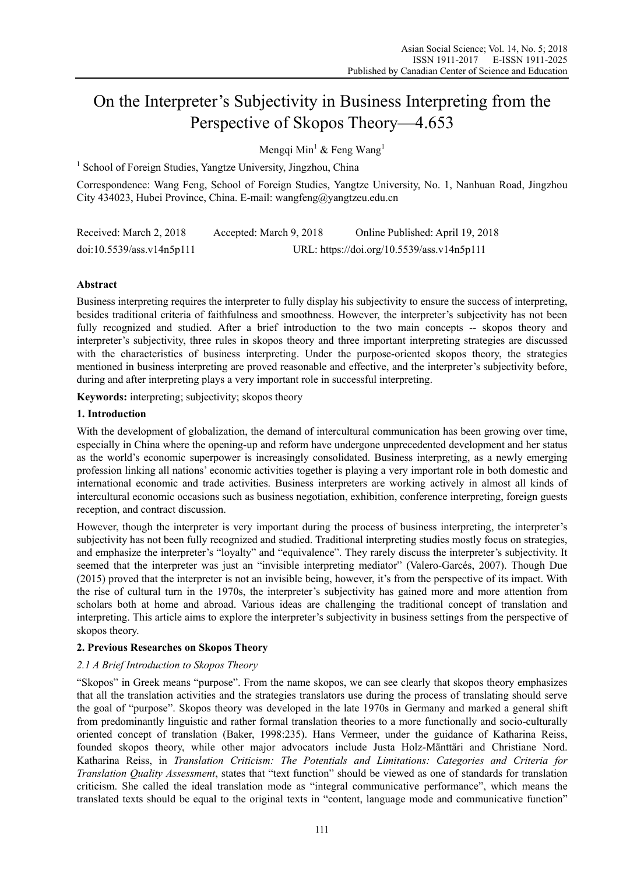# On the Interpreter's Subjectivity in Business Interpreting from the Perspective of Skopos Theory—4.653

Mengqi Min<sup>1</sup> & Feng Wang<sup>1</sup>

<sup>1</sup> School of Foreign Studies, Yangtze University, Jingzhou, China

Correspondence: Wang Feng, School of Foreign Studies, Yangtze University, No. 1, Nanhuan Road, Jingzhou City 434023, Hubei Province, China. E-mail: wangfeng@yangtzeu.edu.cn

| Received: March 2, 2018   | Accepted: March 9, 2018                    | Online Published: April 19, 2018 |
|---------------------------|--------------------------------------------|----------------------------------|
| doi:10.5539/ass.v14n5p111 | URL: https://doi.org/10.5539/ass.v14n5p111 |                                  |

# **Abstract**

Business interpreting requires the interpreter to fully display his subjectivity to ensure the success of interpreting, besides traditional criteria of faithfulness and smoothness. However, the interpreter's subjectivity has not been fully recognized and studied. After a brief introduction to the two main concepts -- skopos theory and interpreter's subjectivity, three rules in skopos theory and three important interpreting strategies are discussed with the characteristics of business interpreting. Under the purpose-oriented skopos theory, the strategies mentioned in business interpreting are proved reasonable and effective, and the interpreter's subjectivity before, during and after interpreting plays a very important role in successful interpreting.

**Keywords:** interpreting; subjectivity; skopos theory

# **1. Introduction**

With the development of globalization, the demand of intercultural communication has been growing over time, especially in China where the opening-up and reform have undergone unprecedented development and her status as the world's economic superpower is increasingly consolidated. Business interpreting, as a newly emerging profession linking all nations' economic activities together is playing a very important role in both domestic and international economic and trade activities. Business interpreters are working actively in almost all kinds of intercultural economic occasions such as business negotiation, exhibition, conference interpreting, foreign guests reception, and contract discussion.

However, though the interpreter is very important during the process of business interpreting, the interpreter's subjectivity has not been fully recognized and studied. Traditional interpreting studies mostly focus on strategies, and emphasize the interpreter's "loyalty" and "equivalence". They rarely discuss the interpreter's subjectivity. It seemed that the interpreter was just an "invisible interpreting mediator" (Valero-Garcés, 2007). Though Due (2015) proved that the interpreter is not an invisible being, however, it's from the perspective of its impact. With the rise of cultural turn in the 1970s, the interpreter's subjectivity has gained more and more attention from scholars both at home and abroad. Various ideas are challenging the traditional concept of translation and interpreting. This article aims to explore the interpreter's subjectivity in business settings from the perspective of skopos theory.

# **2. Previous Researches on Skopos Theory**

# *2.1 A Brief Introduction to Skopos Theory*

"Skopos" in Greek means "purpose". From the name skopos, we can see clearly that skopos theory emphasizes that all the translation activities and the strategies translators use during the process of translating should serve the goal of "purpose". Skopos theory was developed in the late 1970s in Germany and marked a general shift from predominantly linguistic and rather formal translation theories to a more functionally and socio-culturally oriented concept of translation (Baker, 1998:235). Hans Vermeer, under the guidance of Katharina Reiss, founded skopos theory, while other major advocators include Justa Holz-Mänttäri and Christiane Nord. Katharina Reiss, in *Translation Criticism: The Potentials and Limitations: Categories and Criteria for Translation Quality Assessment*, states that "text function" should be viewed as one of standards for translation criticism. She called the ideal translation mode as "integral communicative performance", which means the translated texts should be equal to the original texts in "content, language mode and communicative function"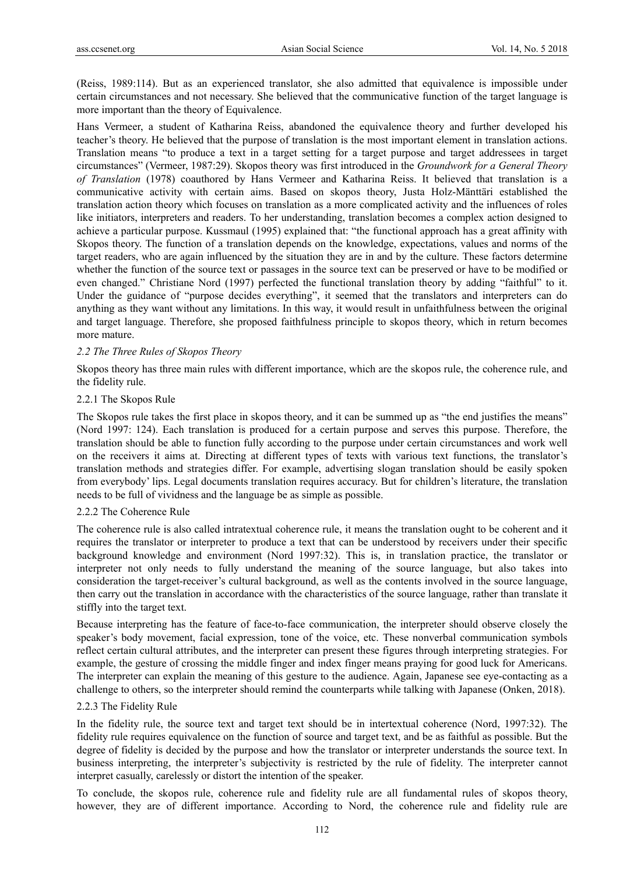(Reiss, 1989:114). But as an experienced translator, she also admitted that equivalence is impossible under certain circumstances and not necessary. She believed that the communicative function of the target language is more important than the theory of Equivalence.

Hans Vermeer, a student of Katharina Reiss, abandoned the equivalence theory and further developed his teacher's theory. He believed that the purpose of translation is the most important element in translation actions. Translation means "to produce a text in a target setting for a target purpose and target addressees in target circumstances" (Vermeer, 1987:29). Skopos theory was first introduced in the *Groundwork for a General Theory of Translation* (1978) coauthored by Hans Vermeer and Katharina Reiss. It believed that translation is a communicative activity with certain aims. Based on skopos theory, Justa Holz-Mänttäri established the translation action theory which focuses on translation as a more complicated activity and the influences of roles like initiators, interpreters and readers. To her understanding, translation becomes a complex action designed to achieve a particular purpose. Kussmaul (1995) explained that: "the functional approach has a great affinity with Skopos theory. The function of a translation depends on the knowledge, expectations, values and norms of the target readers, who are again influenced by the situation they are in and by the culture. These factors determine whether the function of the source text or passages in the source text can be preserved or have to be modified or even changed." Christiane Nord (1997) perfected the functional translation theory by adding "faithful" to it. Under the guidance of "purpose decides everything", it seemed that the translators and interpreters can do anything as they want without any limitations. In this way, it would result in unfaithfulness between the original and target language. Therefore, she proposed faithfulness principle to skopos theory, which in return becomes more mature.

#### *2.2 The Three Rules of Skopos Theory*

Skopos theory has three main rules with different importance, which are the skopos rule, the coherence rule, and the fidelity rule.

## 2.2.1 The Skopos Rule

The Skopos rule takes the first place in skopos theory, and it can be summed up as "the end justifies the means" (Nord 1997: 124). Each translation is produced for a certain purpose and serves this purpose. Therefore, the translation should be able to function fully according to the purpose under certain circumstances and work well on the receivers it aims at. Directing at different types of texts with various text functions, the translator's translation methods and strategies differ. For example, advertising slogan translation should be easily spoken from everybody' lips. Legal documents translation requires accuracy. But for children's literature, the translation needs to be full of vividness and the language be as simple as possible.

#### 2.2.2 The Coherence Rule

The coherence rule is also called intratextual coherence rule, it means the translation ought to be coherent and it requires the translator or interpreter to produce a text that can be understood by receivers under their specific background knowledge and environment (Nord 1997:32). This is, in translation practice, the translator or interpreter not only needs to fully understand the meaning of the source language, but also takes into consideration the target-receiver's cultural background, as well as the contents involved in the source language, then carry out the translation in accordance with the characteristics of the source language, rather than translate it stiffly into the target text.

Because interpreting has the feature of face-to-face communication, the interpreter should observe closely the speaker's body movement, facial expression, tone of the voice, etc. These nonverbal communication symbols reflect certain cultural attributes, and the interpreter can present these figures through interpreting strategies. For example, the gesture of crossing the middle finger and index finger means praying for good luck for Americans. The interpreter can explain the meaning of this gesture to the audience. Again, Japanese see eye-contacting as a challenge to others, so the interpreter should remind the counterparts while talking with Japanese (Onken, 2018).

### 2.2.3 The Fidelity Rule

In the fidelity rule, the source text and target text should be in intertextual coherence (Nord, 1997:32). The fidelity rule requires equivalence on the function of source and target text, and be as faithful as possible. But the degree of fidelity is decided by the purpose and how the translator or interpreter understands the source text. In business interpreting, the interpreter's subjectivity is restricted by the rule of fidelity. The interpreter cannot interpret casually, carelessly or distort the intention of the speaker.

To conclude, the skopos rule, coherence rule and fidelity rule are all fundamental rules of skopos theory, however, they are of different importance. According to Nord, the coherence rule and fidelity rule are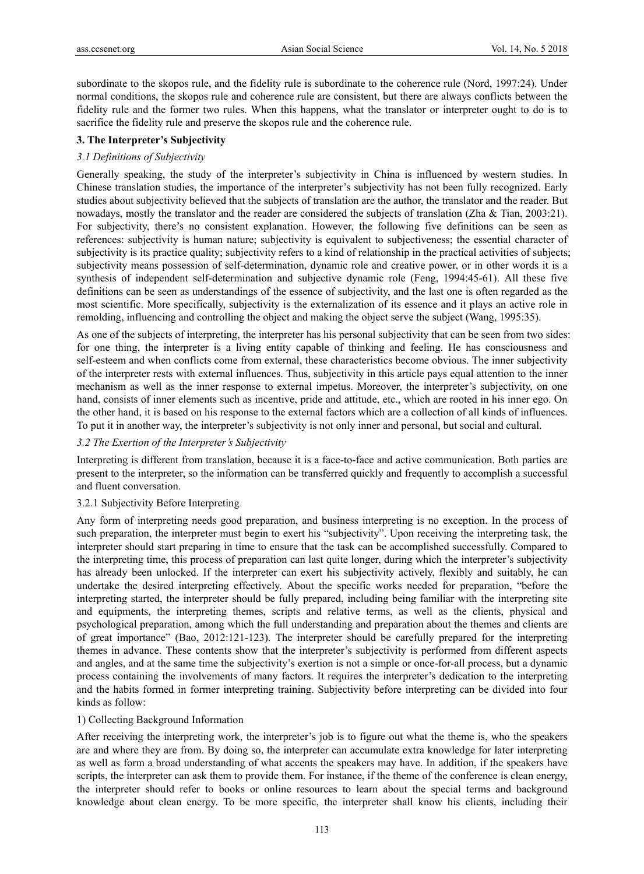subordinate to the skopos rule, and the fidelity rule is subordinate to the coherence rule (Nord, 1997:24). Under normal conditions, the skopos rule and coherence rule are consistent, but there are always conflicts between the fidelity rule and the former two rules. When this happens, what the translator or interpreter ought to do is to sacrifice the fidelity rule and preserve the skopos rule and the coherence rule.

### **3. The Interpreter's Subjectivity**

## *3.1 Definitions of Subjectivity*

Generally speaking, the study of the interpreter's subjectivity in China is influenced by western studies. In Chinese translation studies, the importance of the interpreter's subjectivity has not been fully recognized. Early studies about subjectivity believed that the subjects of translation are the author, the translator and the reader. But nowadays, mostly the translator and the reader are considered the subjects of translation (Zha & Tian, 2003:21). For subjectivity, there's no consistent explanation. However, the following five definitions can be seen as references: subjectivity is human nature; subjectivity is equivalent to subjectiveness; the essential character of subjectivity is its practice quality; subjectivity refers to a kind of relationship in the practical activities of subjects; subjectivity means possession of self-determination, dynamic role and creative power, or in other words it is a synthesis of independent self-determination and subjective dynamic role (Feng, 1994:45-61). All these five definitions can be seen as understandings of the essence of subjectivity, and the last one is often regarded as the most scientific. More specifically, subjectivity is the externalization of its essence and it plays an active role in remolding, influencing and controlling the object and making the object serve the subject (Wang, 1995:35).

As one of the subjects of interpreting, the interpreter has his personal subjectivity that can be seen from two sides: for one thing, the interpreter is a living entity capable of thinking and feeling. He has consciousness and self-esteem and when conflicts come from external, these characteristics become obvious. The inner subjectivity of the interpreter rests with external influences. Thus, subjectivity in this article pays equal attention to the inner mechanism as well as the inner response to external impetus. Moreover, the interpreter's subjectivity, on one hand, consists of inner elements such as incentive, pride and attitude, etc., which are rooted in his inner ego. On the other hand, it is based on his response to the external factors which are a collection of all kinds of influences. To put it in another way, the interpreter's subjectivity is not only inner and personal, but social and cultural.

#### *3.2 The Exertion of the Interpreter's Subjectivity*

Interpreting is different from translation, because it is a face-to-face and active communication. Both parties are present to the interpreter, so the information can be transferred quickly and frequently to accomplish a successful and fluent conversation.

#### 3.2.1 Subjectivity Before Interpreting

Any form of interpreting needs good preparation, and business interpreting is no exception. In the process of such preparation, the interpreter must begin to exert his "subjectivity". Upon receiving the interpreting task, the interpreter should start preparing in time to ensure that the task can be accomplished successfully. Compared to the interpreting time, this process of preparation can last quite longer, during which the interpreter's subjectivity has already been unlocked. If the interpreter can exert his subjectivity actively, flexibly and suitably, he can undertake the desired interpreting effectively. About the specific works needed for preparation, "before the interpreting started, the interpreter should be fully prepared, including being familiar with the interpreting site and equipments, the interpreting themes, scripts and relative terms, as well as the clients, physical and psychological preparation, among which the full understanding and preparation about the themes and clients are of great importance" (Bao, 2012:121-123). The interpreter should be carefully prepared for the interpreting themes in advance. These contents show that the interpreter's subjectivity is performed from different aspects and angles, and at the same time the subjectivity's exertion is not a simple or once-for-all process, but a dynamic process containing the involvements of many factors. It requires the interpreter's dedication to the interpreting and the habits formed in former interpreting training. Subjectivity before interpreting can be divided into four kinds as follow:

#### 1) Collecting Background Information

After receiving the interpreting work, the interpreter's job is to figure out what the theme is, who the speakers are and where they are from. By doing so, the interpreter can accumulate extra knowledge for later interpreting as well as form a broad understanding of what accents the speakers may have. In addition, if the speakers have scripts, the interpreter can ask them to provide them. For instance, if the theme of the conference is clean energy, the interpreter should refer to books or online resources to learn about the special terms and background knowledge about clean energy. To be more specific, the interpreter shall know his clients, including their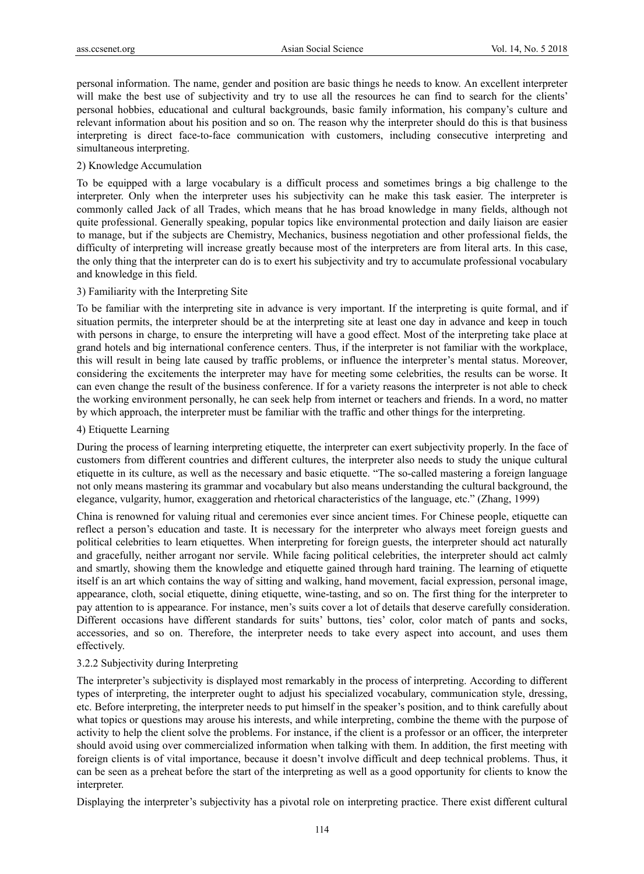personal information. The name, gender and position are basic things he needs to know. An excellent interpreter will make the best use of subjectivity and try to use all the resources he can find to search for the clients' personal hobbies, educational and cultural backgrounds, basic family information, his company's culture and relevant information about his position and so on. The reason why the interpreter should do this is that business interpreting is direct face-to-face communication with customers, including consecutive interpreting and simultaneous interpreting.

## 2) Knowledge Accumulation

To be equipped with a large vocabulary is a difficult process and sometimes brings a big challenge to the interpreter. Only when the interpreter uses his subjectivity can he make this task easier. The interpreter is commonly called Jack of all Trades, which means that he has broad knowledge in many fields, although not quite professional. Generally speaking, popular topics like environmental protection and daily liaison are easier to manage, but if the subjects are Chemistry, Mechanics, business negotiation and other professional fields, the difficulty of interpreting will increase greatly because most of the interpreters are from literal arts. In this case, the only thing that the interpreter can do is to exert his subjectivity and try to accumulate professional vocabulary and knowledge in this field.

## 3) Familiarity with the Interpreting Site

To be familiar with the interpreting site in advance is very important. If the interpreting is quite formal, and if situation permits, the interpreter should be at the interpreting site at least one day in advance and keep in touch with persons in charge, to ensure the interpreting will have a good effect. Most of the interpreting take place at grand hotels and big international conference centers. Thus, if the interpreter is not familiar with the workplace, this will result in being late caused by traffic problems, or influence the interpreter's mental status. Moreover, considering the excitements the interpreter may have for meeting some celebrities, the results can be worse. It can even change the result of the business conference. If for a variety reasons the interpreter is not able to check the working environment personally, he can seek help from internet or teachers and friends. In a word, no matter by which approach, the interpreter must be familiar with the traffic and other things for the interpreting.

## 4) Etiquette Learning

During the process of learning interpreting etiquette, the interpreter can exert subjectivity properly. In the face of customers from different countries and different cultures, the interpreter also needs to study the unique cultural etiquette in its culture, as well as the necessary and basic etiquette. "The so-called mastering a foreign language not only means mastering its grammar and vocabulary but also means understanding the cultural background, the elegance, vulgarity, humor, exaggeration and rhetorical characteristics of the language, etc." (Zhang, 1999)

China is renowned for valuing ritual and ceremonies ever since ancient times. For Chinese people, etiquette can reflect a person's education and taste. It is necessary for the interpreter who always meet foreign guests and political celebrities to learn etiquettes. When interpreting for foreign guests, the interpreter should act naturally and gracefully, neither arrogant nor servile. While facing political celebrities, the interpreter should act calmly and smartly, showing them the knowledge and etiquette gained through hard training. The learning of etiquette itself is an art which contains the way of sitting and walking, hand movement, facial expression, personal image, appearance, cloth, social etiquette, dining etiquette, wine-tasting, and so on. The first thing for the interpreter to pay attention to is appearance. For instance, men's suits cover a lot of details that deserve carefully consideration. Different occasions have different standards for suits' buttons, ties' color, color match of pants and socks, accessories, and so on. Therefore, the interpreter needs to take every aspect into account, and uses them effectively.

### 3.2.2 Subjectivity during Interpreting

The interpreter's subjectivity is displayed most remarkably in the process of interpreting. According to different types of interpreting, the interpreter ought to adjust his specialized vocabulary, communication style, dressing, etc. Before interpreting, the interpreter needs to put himself in the speaker's position, and to think carefully about what topics or questions may arouse his interests, and while interpreting, combine the theme with the purpose of activity to help the client solve the problems. For instance, if the client is a professor or an officer, the interpreter should avoid using over commercialized information when talking with them. In addition, the first meeting with foreign clients is of vital importance, because it doesn't involve difficult and deep technical problems. Thus, it can be seen as a preheat before the start of the interpreting as well as a good opportunity for clients to know the interpreter.

Displaying the interpreter's subjectivity has a pivotal role on interpreting practice. There exist different cultural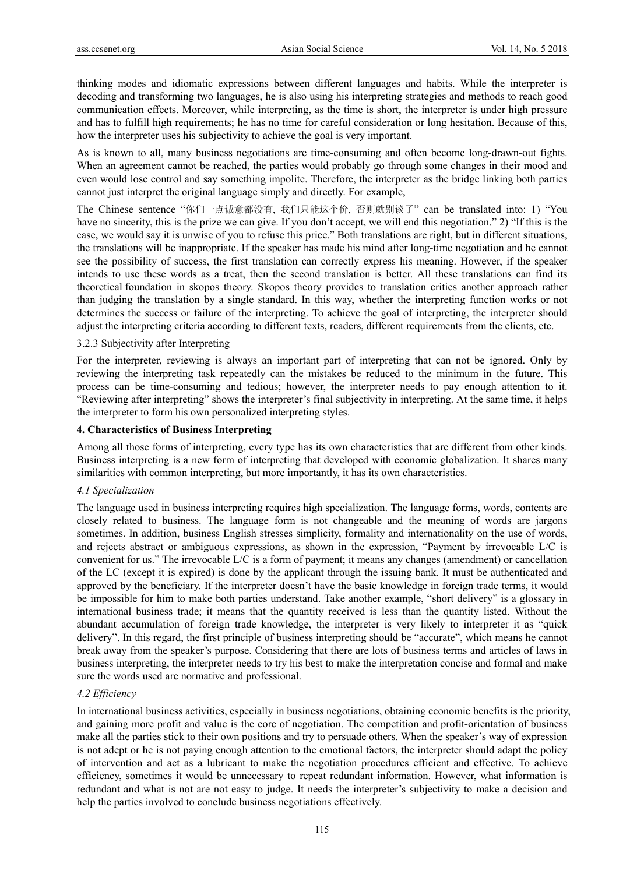thinking modes and idiomatic expressions between different languages and habits. While the interpreter is decoding and transforming two languages, he is also using his interpreting strategies and methods to reach good communication effects. Moreover, while interpreting, as the time is short, the interpreter is under high pressure and has to fulfill high requirements; he has no time for careful consideration or long hesitation. Because of this, how the interpreter uses his subjectivity to achieve the goal is very important.

As is known to all, many business negotiations are time-consuming and often become long-drawn-out fights. When an agreement cannot be reached, the parties would probably go through some changes in their mood and even would lose control and say something impolite. Therefore, the interpreter as the bridge linking both parties cannot just interpret the original language simply and directly. For example,

The Chinese sentence "你们一点诚意都没有, 我们只能这个价, 否则就别谈了" can be translated into: 1) "You have no sincerity, this is the prize we can give. If you don't accept, we will end this negotiation." 2) "If this is the case, we would say it is unwise of you to refuse this price." Both translations are right, but in different situations, the translations will be inappropriate. If the speaker has made his mind after long-time negotiation and he cannot see the possibility of success, the first translation can correctly express his meaning. However, if the speaker intends to use these words as a treat, then the second translation is better. All these translations can find its theoretical foundation in skopos theory. Skopos theory provides to translation critics another approach rather than judging the translation by a single standard. In this way, whether the interpreting function works or not determines the success or failure of the interpreting. To achieve the goal of interpreting, the interpreter should adjust the interpreting criteria according to different texts, readers, different requirements from the clients, etc.

## 3.2.3 Subjectivity after Interpreting

For the interpreter, reviewing is always an important part of interpreting that can not be ignored. Only by reviewing the interpreting task repeatedly can the mistakes be reduced to the minimum in the future. This process can be time-consuming and tedious; however, the interpreter needs to pay enough attention to it. "Reviewing after interpreting" shows the interpreter's final subjectivity in interpreting. At the same time, it helps the interpreter to form his own personalized interpreting styles.

## **4. Characteristics of Business Interpreting**

Among all those forms of interpreting, every type has its own characteristics that are different from other kinds. Business interpreting is a new form of interpreting that developed with economic globalization. It shares many similarities with common interpreting, but more importantly, it has its own characteristics.

#### *4.1 Specialization*

The language used in business interpreting requires high specialization. The language forms, words, contents are closely related to business. The language form is not changeable and the meaning of words are jargons sometimes. In addition, business English stresses simplicity, formality and internationality on the use of words, and rejects abstract or ambiguous expressions, as shown in the expression, "Payment by irrevocable L/C is convenient for us." The irrevocable L/C is a form of payment; it means any changes (amendment) or cancellation of the LC (except it is expired) is done by the applicant through the issuing bank. It must be authenticated and approved by the beneficiary. If the interpreter doesn't have the basic knowledge in foreign trade terms, it would be impossible for him to make both parties understand. Take another example, "short delivery" is a glossary in international business trade; it means that the quantity received is less than the quantity listed. Without the abundant accumulation of foreign trade knowledge, the interpreter is very likely to interpreter it as "quick delivery". In this regard, the first principle of business interpreting should be "accurate", which means he cannot break away from the speaker's purpose. Considering that there are lots of business terms and articles of laws in business interpreting, the interpreter needs to try his best to make the interpretation concise and formal and make sure the words used are normative and professional.

## *4.2 Efficiency*

In international business activities, especially in business negotiations, obtaining economic benefits is the priority, and gaining more profit and value is the core of negotiation. The competition and profit-orientation of business make all the parties stick to their own positions and try to persuade others. When the speaker's way of expression is not adept or he is not paying enough attention to the emotional factors, the interpreter should adapt the policy of intervention and act as a lubricant to make the negotiation procedures efficient and effective. To achieve efficiency, sometimes it would be unnecessary to repeat redundant information. However, what information is redundant and what is not are not easy to judge. It needs the interpreter's subjectivity to make a decision and help the parties involved to conclude business negotiations effectively.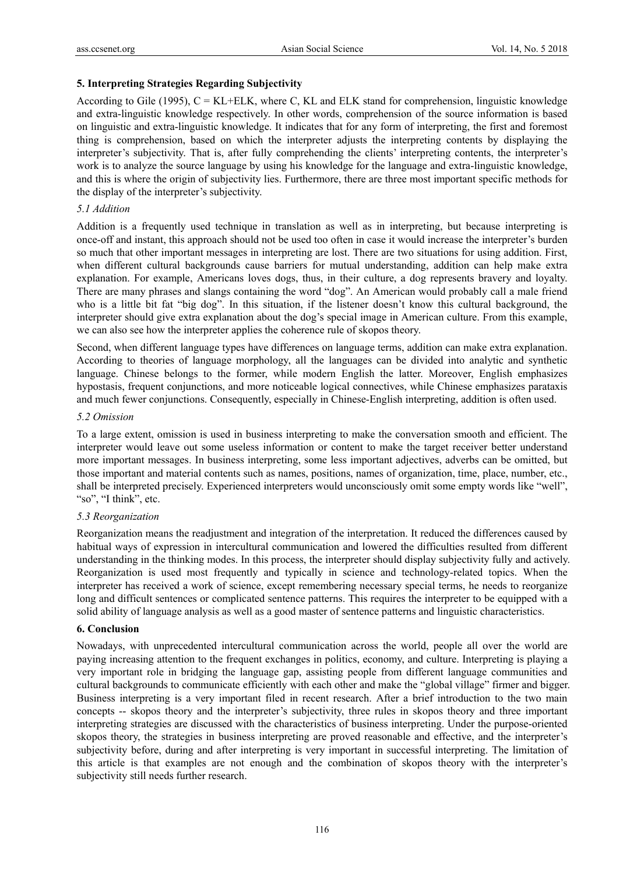# **5. Interpreting Strategies Regarding Subjectivity**

According to Gile (1995),  $C = KL + ELK$ , where C, KL and ELK stand for comprehension, linguistic knowledge and extra-linguistic knowledge respectively. In other words, comprehension of the source information is based on linguistic and extra-linguistic knowledge. It indicates that for any form of interpreting, the first and foremost thing is comprehension, based on which the interpreter adjusts the interpreting contents by displaying the interpreter's subjectivity. That is, after fully comprehending the clients' interpreting contents, the interpreter's work is to analyze the source language by using his knowledge for the language and extra-linguistic knowledge, and this is where the origin of subjectivity lies. Furthermore, there are three most important specific methods for the display of the interpreter's subjectivity.

# *5.1 Addition*

Addition is a frequently used technique in translation as well as in interpreting, but because interpreting is once-off and instant, this approach should not be used too often in case it would increase the interpreter's burden so much that other important messages in interpreting are lost. There are two situations for using addition. First, when different cultural backgrounds cause barriers for mutual understanding, addition can help make extra explanation. For example, Americans loves dogs, thus, in their culture, a dog represents bravery and loyalty. There are many phrases and slangs containing the word "dog". An American would probably call a male friend who is a little bit fat "big dog". In this situation, if the listener doesn't know this cultural background, the interpreter should give extra explanation about the dog's special image in American culture. From this example, we can also see how the interpreter applies the coherence rule of skopos theory.

Second, when different language types have differences on language terms, addition can make extra explanation. According to theories of language morphology, all the languages can be divided into analytic and synthetic language. Chinese belongs to the former, while modern English the latter. Moreover, English emphasizes hypostasis, frequent conjunctions, and more noticeable logical connectives, while Chinese emphasizes parataxis and much fewer conjunctions. Consequently, especially in Chinese-English interpreting, addition is often used.

# *5.2 Omission*

To a large extent, omission is used in business interpreting to make the conversation smooth and efficient. The interpreter would leave out some useless information or content to make the target receiver better understand more important messages. In business interpreting, some less important adjectives, adverbs can be omitted, but those important and material contents such as names, positions, names of organization, time, place, number, etc., shall be interpreted precisely. Experienced interpreters would unconsciously omit some empty words like "well", "so", "I think", etc.

## *5.3 Reorganization*

Reorganization means the readjustment and integration of the interpretation. It reduced the differences caused by habitual ways of expression in intercultural communication and lowered the difficulties resulted from different understanding in the thinking modes. In this process, the interpreter should display subjectivity fully and actively. Reorganization is used most frequently and typically in science and technology-related topics. When the interpreter has received a work of science, except remembering necessary special terms, he needs to reorganize long and difficult sentences or complicated sentence patterns. This requires the interpreter to be equipped with a solid ability of language analysis as well as a good master of sentence patterns and linguistic characteristics.

## **6. Conclusion**

Nowadays, with unprecedented intercultural communication across the world, people all over the world are paying increasing attention to the frequent exchanges in politics, economy, and culture. Interpreting is playing a very important role in bridging the language gap, assisting people from different language communities and cultural backgrounds to communicate efficiently with each other and make the "global village" firmer and bigger. Business interpreting is a very important filed in recent research. After a brief introduction to the two main concepts -- skopos theory and the interpreter's subjectivity, three rules in skopos theory and three important interpreting strategies are discussed with the characteristics of business interpreting. Under the purpose-oriented skopos theory, the strategies in business interpreting are proved reasonable and effective, and the interpreter's subjectivity before, during and after interpreting is very important in successful interpreting. The limitation of this article is that examples are not enough and the combination of skopos theory with the interpreter's subjectivity still needs further research.